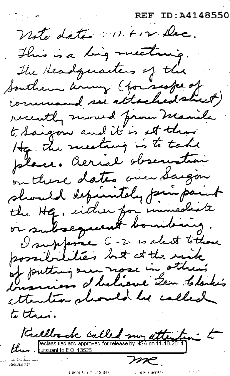REF ID:A4148550

Wate date. 11. + 12. Dec. This is a ling meeting.<br>The Headquarters of the Southern aring (for scope of command see attachedsheet)<br>recently moved from Manila to saigon and it is at their place. Aerial observation place. Aerial observation  $-$  the Hg or subsequent bouiling. . depuistely prin paint I suppose G-2 is alact to those possibilities but at the rick I suppose G-2 I suppose G-2 is alced where<br>possibilities but at the risk of putting and nose in others<br>broadcars d'helieve Len Clarke's<br>attention should be called d'holieve Len Clarke's  $t$  $i$  this. to this.<br>*Caello de Calle and approved for release by NSA on 11-18-2014* 

*-:me.*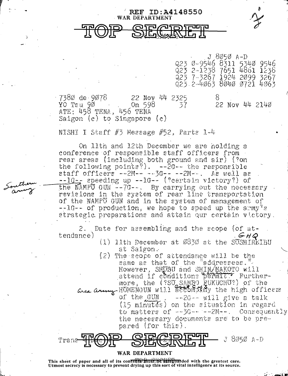## **REF ID: A4148550** WAR DEPARTMENT

J 8050 A-D Ø-9546 8311 5340 9546  $2 - 1238$ 7651 4861 1238 923 7-3267 1924 2099 3267 023 2-4063 8040 0721 4063

738Ø de 9078 22 Nov 44 2325 ਨ YO Tsu 90 .0n 598 22 Nov 44 2140 37 ATE: 458 TENA, 456 TENA Saigon  $(c)$  to Singapore  $(c)$ 

NISHI I Staff  $#3$  Message  $#52$ , Parts 1-4

On 11th and 12th December we are holding a conference of responsible staff officers from rear areas (including both ground and air) (?on the following points?).  $-20 - 6$  the responsible staff officers -- 2M-- -- 3G-- -- 2M--. As well as --1G-, speeding up --1G-- (?certain victory?) of the NAMPU GUN  $-7G$ --. By carrying out the necessary revisions in the system of rear line transportation of the NAMPU GUN and in the system of management of  $-10 -$  of production, we hope to speed up the army's strategic preparations and attain our certain victory.

Date for assembling and the scope (of at-2. tendance)  $G H Q$ 

- (1) 11th December at 6830 at the SUSHIREIBU at Salgon.
- (2) The scope of attendance will be the same as that of the "addressees." However, SHOBU and SHIN/MAKOTO will<br>attend if conditions permit. Furthermore, the (?SO SAMBO EUKUCHO?) of the<br>wea any HOMENGUN will according the high officers of the GUN  $-26 -$  will give a talk (15 minutés) on the situation in regard to matters of --3G-- -- 2M--. Consequently the necessary documents are to be prepared (for this).



WAR DEPARTMENT

This sheet of paper and all of its contents must be safeguarded with the greatest care. Utmost secrecy is necessary to prevent drying up this sort of vital intelligence at its source.